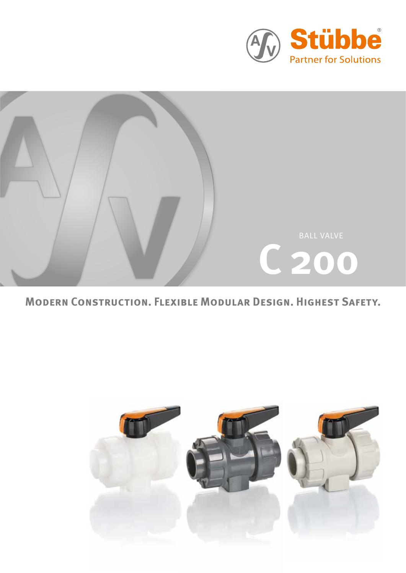



## **Modern Construction. Flexible Modular Design. Highest Safety.**

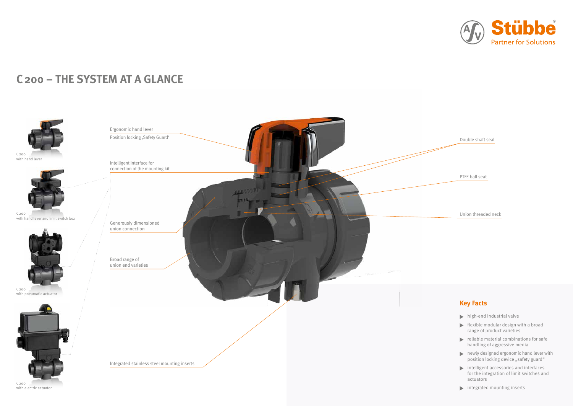# **C200 – The System At A Glance**

## **Key Facts**

- $\blacktriangleright$  high-end industrial valve
- flexible modular design with a broad range of product varieties
- $\blacktriangleright$  reliable material combinations for safe handling of aggressive media
- newly designed ergonomic hand lever with position locking device "safety guard"
- intelligent accessories and interfaces for the integration of limit switches and actuators
- $\blacktriangleright$  integrated mounting inserts





C200 with hand lever and limit switch box



C200 with electric actuator

C200 with pneumatic actuator







Double shaft seal

PTFE ball seat

Union threaded neck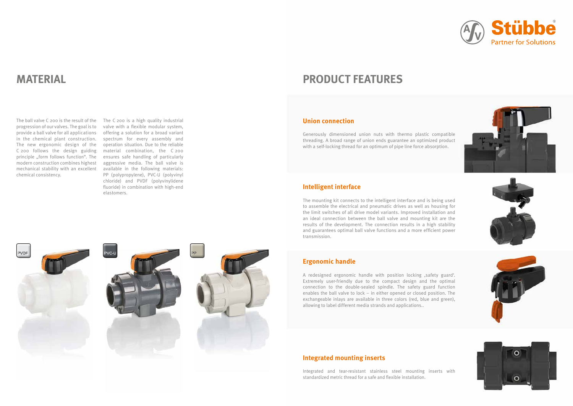# **Material**

The ball valve C 200 is the result of the The C 200 is a high quality industrial progression of our valves. The goal is to provide a ball valve for all applications in the chemical plant construction. C 200 follows the design guiding material combination, the C 200 chemical consistency.

The new ergonomic design of the operation situation. Due to the reliable principle "form follows function". The ensures safe handling of particularly modern construction combines highest aggressive media. The ball valve is mechanical stability with an excellent available in the following materials: valve with a flexible modular system, offering a solution for a broad variant spectrum for every assembly and PP (polypropylene), PVC-U (polyvinyl chloride) and PVDF (polyvinylidene fluoride) in combination with high-end elastomers.







A redesigned ergonomic handle with position locking , safety guard'. Extremely user-friendly due to the compact design and the optimal connection to the double-sealed spindle. The safety guard function enables the ball valve to lock – in either opened or closed position. The exchangeable inlays are available in three colors (red, blue and green), allowing to label different media strands and applications..

### **Union connection**

Generously dimensioned union nuts with thermo plastic compatible threading. A broad range of union ends guarantee an optimized product with a self-locking thread for an optimum of pipe line force absorption.

### **Ergonomic handle**

# **Product features**

### **Intelligent interface**

The mounting kit connects to the intelligent interface and is being used to assemble the electrical and pneumatic drives as well as housing for the limit switches of all drive model variants. Improved installation and an ideal connection between the ball valve and mounting kit are the results of the development. The connection results in a high stability and guarantees optimal ball valve functions and a more efficient power transmission.

### **Integrated mounting inserts**

Integrated and tear-resistant stainless steel mounting inserts with standardized metric thread for a safe and flexible installation.









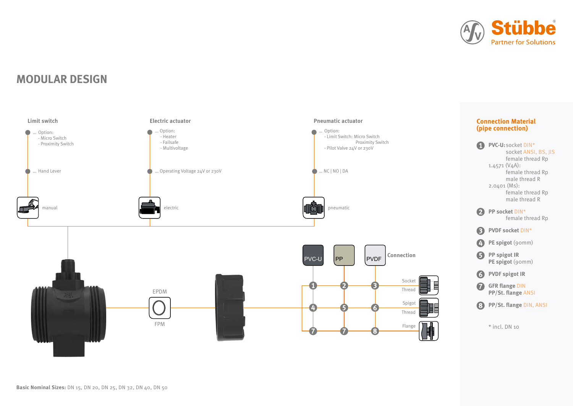**MODULAR DESIGN**





**PVC-U:**socket DIN\* socket ANSI, BS, JIS female thread Rp 1.4571 (V4A): female thread Rp male thread R 2.0401 (Ms): female thread Rp male thread R







- **PVDF socket** DIN\*
- $\bullet$ **PE spigot** (90mm)
- **PP spigot IR** PE spigot (90mm)
- **6** PVDF spigot IR
- **GFR flange DIN PP/St. flange** ANSI
- **PP/St. flange** DIN, ANSI

\* incl. DN 10

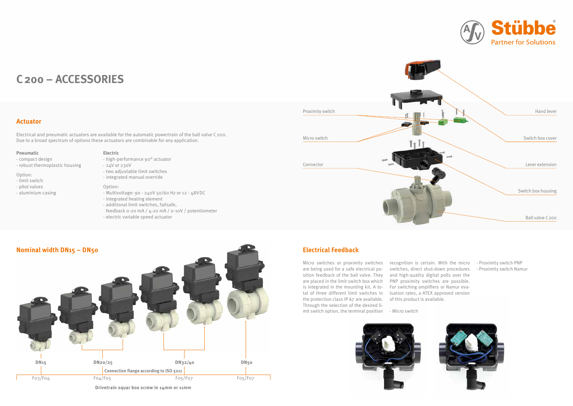

# **C200 – Accessories**

Electrical and pneumatic actuators are available for the automatic powertrain of the ball valve C200. Due to a broad spectrum of options these actuators are combinable for any application.

## **Electrical Feedback**

Micro switches or proximity switches are being used for a safe electrical position feedback of the ball valve. They are placed in the limit switch box which is integrated in the mounting kit. A total of three different limit switches in the protection class IP 67 are available. Through the selection of the desired limit switch option, the terminal position

recognition is certain. With the micro - Proximity switch PNP switches, direct shut-down procedures and high-quality digital polls over the PNP proximity switches are possible. For switching amplifiers or Namur evaluation rates, a ATEX approved version of this product is available.

- Micro switch



- 
- Proximity switch Namur



### **Actuator**

**Drivetrain squar box screw in 14mm or 11mm**

#### **Pneumatic**

- compact design
- robust thermoplastic housing

#### Option:

- limit switch
- pilot valves
- aluminium casing

#### **Electric**

- high-performance 90° actuator



#### - 24V or 230V

- two adjustable limit switches
- integrated manual override

#### Option:

- Multivoltage: 90 240V 50/60 Hz or 12 48VDC
- integrated heating element
- additional limit switches, failsafe,
- feedback 0-20 mA / 4-20 mA / 0-10V / potentiometer
- electric variable speed actuator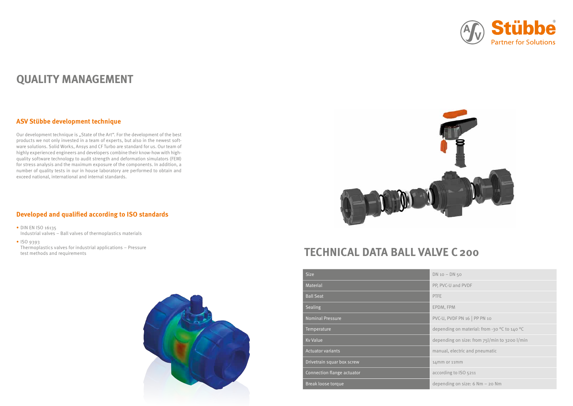| <b>Size</b>                | DN <sub>1</sub> |
|----------------------------|-----------------|
| Material                   | PP, F           |
| <b>Ball Seat</b>           | <b>PTFE</b>     |
| Sealing                    | <b>EPDI</b>     |
| <b>Nominal Pressure</b>    | PVC-            |
| Temperature                | dep(            |
| <b>Kv Value</b>            | dep(            |
| <b>Actuator variants</b>   | man             |
| Drivetrain squar box screw | 14m             |
| Connection flange actuator | acco            |
| Break loose torque         | dep(            |



 $DN 10 - DN 50$ 

PP, PVC-U and PVDF

EPDM, FPM

PVC-U, PVDF PN 16 | PP PN 10

depending on material: from -30 °C to 140 °C

depending on size: from 75l/min to 3200 l/min

manual, electric and pneumatic

 $14$ mm or 11mm

according to ISO 5211

depending on size: 6 Nm – 20 Nm

# **TECHNICAL DATA BALL VALVE C200**

# **Quality Management**

### **ASV Stübbe development technique**

Our development technique is "State of the Art". For the development of the best products we not only invested in a team of experts, but also in the newest software solutions. Solid Works, Ansys and CF Turbo are standard for us. Our team of highly experienced engineers and developers combine their know-how with highquality software technology to audit strength and deformation simulators (FEM) for stress analysis and the maximum exposure of the components. In addition, a number of quality tests in our in house laboratory are performed to obtain and exceed national, international and internal standards.

## **Developed and qualified according to ISO standards**

- DIN EN ISO 16135 Industrial valves – Ball valves of thermoplastics materials
- ISO 9393

Thermoplastics valves for industrial applications – Pressure test methods and requirements